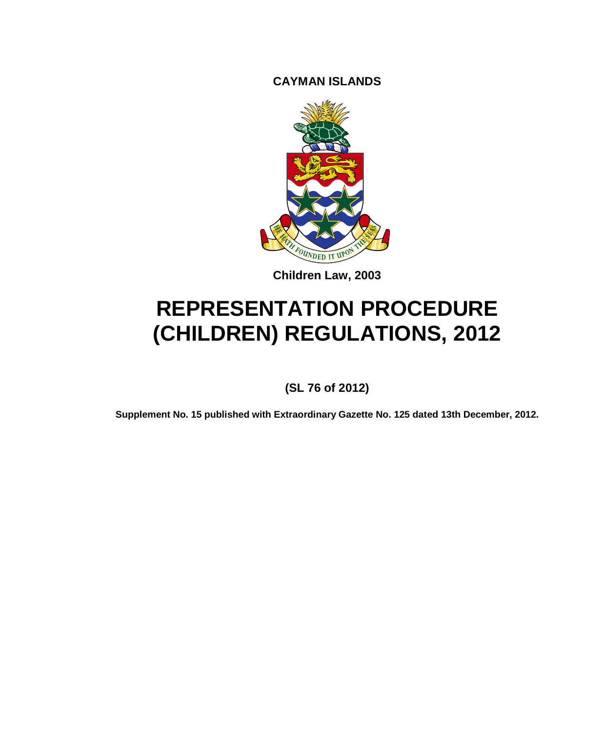**CAYMAN ISLANDS**



**Children Law, 2003**

# **REPRESENTATION PROCEDURE (CHILDREN) REGULATIONS, 2012**

**(SL 76 of 2012)**

**Supplement No. 15 published with Extraordinary Gazette No. 125 dated 13th December, 2012.**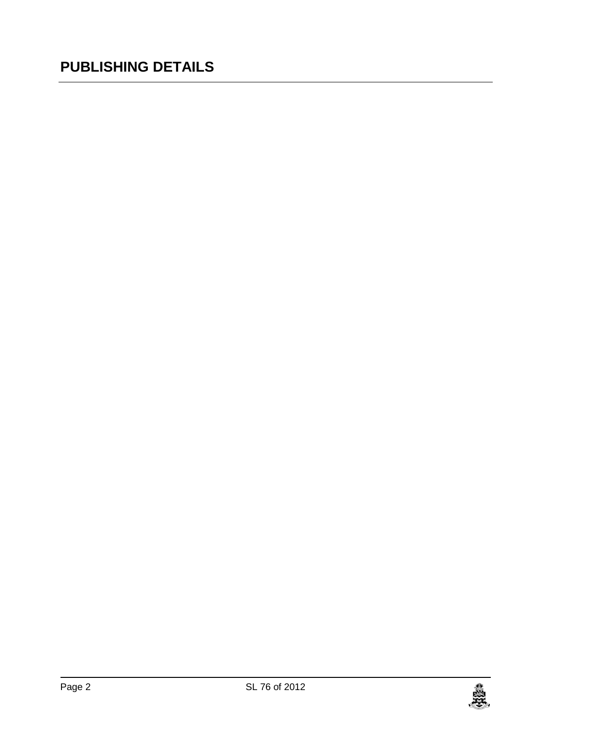## **PUBLISHING DETAILS**

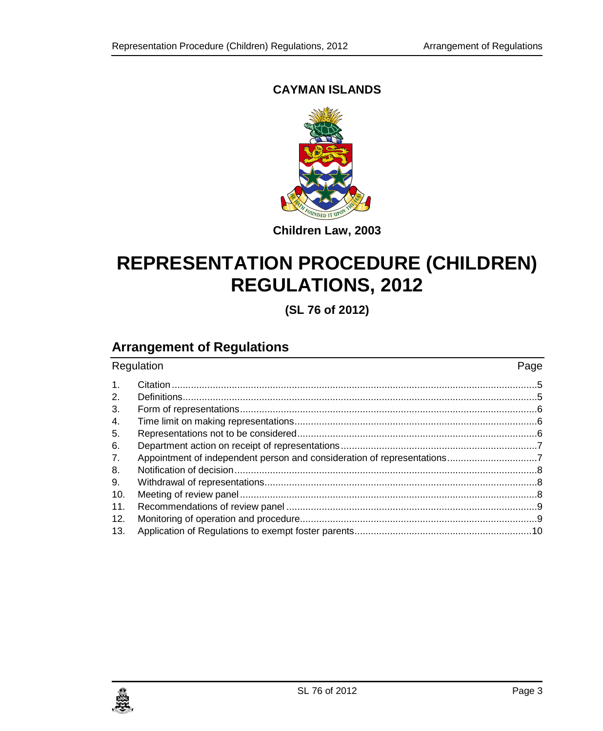### **CAYMAN ISLANDS**



**Children Law, 2003**

## **REPRESENTATION PROCEDURE (CHILDREN) REGULATIONS, 2012**

**(SL 76 of 2012)**

## **Arrangement of Regulations**

| Regulation     |                                                                         | Page |
|----------------|-------------------------------------------------------------------------|------|
| $\mathbf{1}$ . |                                                                         |      |
| 2.             |                                                                         |      |
| 3.             |                                                                         |      |
| 4.             |                                                                         |      |
| 5.             |                                                                         |      |
| 6.             |                                                                         |      |
| 7.             | Appointment of independent person and consideration of representations7 |      |
| 8.             |                                                                         |      |
| 9.             |                                                                         |      |
| 10.            |                                                                         |      |
| 11.            |                                                                         |      |
| 12.            |                                                                         |      |
| 13.            |                                                                         |      |

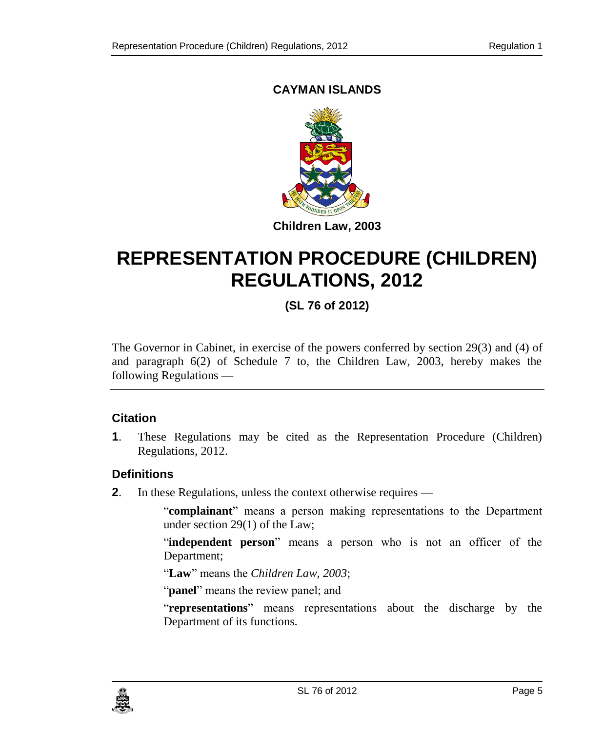### **CAYMAN ISLANDS**



## **REPRESENTATION PROCEDURE (CHILDREN) REGULATIONS, 2012**

### **(SL 76 of 2012)**

The Governor in Cabinet, in exercise of the powers conferred by section 29(3) and (4) of and paragraph 6(2) of Schedule 7 to, the Children Law, 2003, hereby makes the following Regulations —

#### <span id="page-4-0"></span>**1. Citation**

**1**. These Regulations may be cited as the Representation Procedure (Children) Regulations, 2012.

#### <span id="page-4-1"></span>**2. Definitions**

**2**. In these Regulations, unless the context otherwise requires —

"**complainant**" means a person making representations to the Department under section 29(1) of the Law;

"**independent person**" means a person who is not an officer of the Department;

"**Law**" means the *Children Law, 2003*;

"**panel**" means the review panel; and

"**representations**" means representations about the discharge by the Department of its functions.

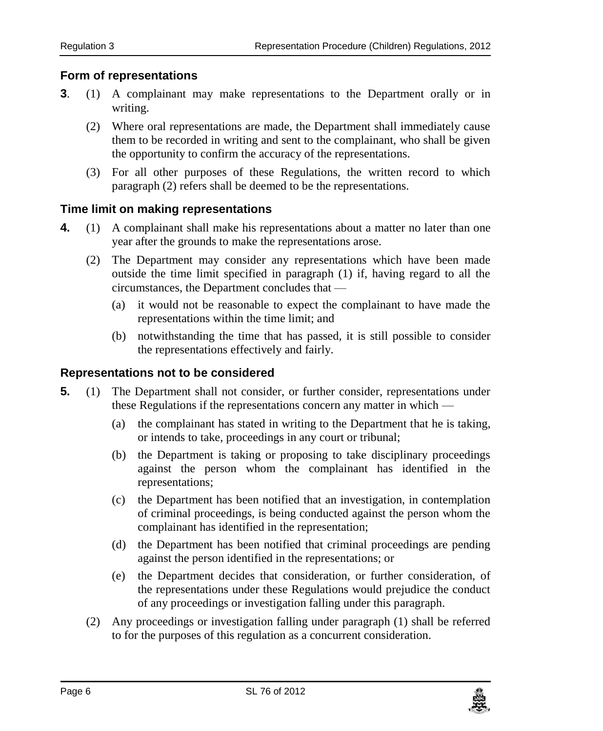#### <span id="page-5-0"></span>**3. Form of representations**

- **3**. (1) A complainant may make representations to the Department orally or in writing.
	- (2) Where oral representations are made, the Department shall immediately cause them to be recorded in writing and sent to the complainant, who shall be given the opportunity to confirm the accuracy of the representations.
	- (3) For all other purposes of these Regulations, the written record to which paragraph (2) refers shall be deemed to be the representations.

#### <span id="page-5-1"></span>**4. Time limit on making representations**

- **4.** (1) A complainant shall make his representations about a matter no later than one year after the grounds to make the representations arose.
	- (2) The Department may consider any representations which have been made outside the time limit specified in paragraph (1) if, having regard to all the circumstances, the Department concludes that —
		- (a) it would not be reasonable to expect the complainant to have made the representations within the time limit; and
		- (b) notwithstanding the time that has passed, it is still possible to consider the representations effectively and fairly.

#### <span id="page-5-2"></span>**5. Representations not to be considered**

- **5.** (1) The Department shall not consider, or further consider, representations under these Regulations if the representations concern any matter in which —
	- (a) the complainant has stated in writing to the Department that he is taking, or intends to take, proceedings in any court or tribunal;
	- (b) the Department is taking or proposing to take disciplinary proceedings against the person whom the complainant has identified in the representations;
	- (c) the Department has been notified that an investigation, in contemplation of criminal proceedings, is being conducted against the person whom the complainant has identified in the representation;
	- (d) the Department has been notified that criminal proceedings are pending against the person identified in the representations; or
	- (e) the Department decides that consideration, or further consideration, of the representations under these Regulations would prejudice the conduct of any proceedings or investigation falling under this paragraph.
	- (2) Any proceedings or investigation falling under paragraph (1) shall be referred to for the purposes of this regulation as a concurrent consideration.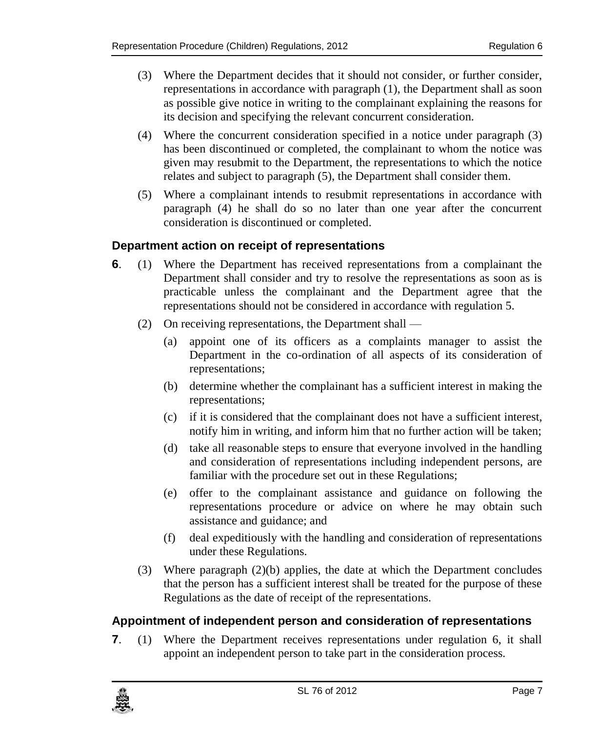- (3) Where the Department decides that it should not consider, or further consider, representations in accordance with paragraph (1), the Department shall as soon as possible give notice in writing to the complainant explaining the reasons for its decision and specifying the relevant concurrent consideration.
- (4) Where the concurrent consideration specified in a notice under paragraph (3) has been discontinued or completed, the complainant to whom the notice was given may resubmit to the Department, the representations to which the notice relates and subject to paragraph (5), the Department shall consider them.
- (5) Where a complainant intends to resubmit representations in accordance with paragraph (4) he shall do so no later than one year after the concurrent consideration is discontinued or completed.

#### <span id="page-6-0"></span>**6. Department action on receipt of representations**

- **6**. (1) Where the Department has received representations from a complainant the Department shall consider and try to resolve the representations as soon as is practicable unless the complainant and the Department agree that the representations should not be considered in accordance with regulation 5.
	- (2) On receiving representations, the Department shall
		- (a) appoint one of its officers as a complaints manager to assist the Department in the co-ordination of all aspects of its consideration of representations;
		- (b) determine whether the complainant has a sufficient interest in making the representations;
		- (c) if it is considered that the complainant does not have a sufficient interest, notify him in writing, and inform him that no further action will be taken;
		- (d) take all reasonable steps to ensure that everyone involved in the handling and consideration of representations including independent persons, are familiar with the procedure set out in these Regulations;
		- (e) offer to the complainant assistance and guidance on following the representations procedure or advice on where he may obtain such assistance and guidance; and
		- (f) deal expeditiously with the handling and consideration of representations under these Regulations.
	- (3) Where paragraph (2)(b) applies, the date at which the Department concludes that the person has a sufficient interest shall be treated for the purpose of these Regulations as the date of receipt of the representations.

#### <span id="page-6-1"></span>**7. Appointment of independent person and consideration of representations**

**7**. (1) Where the Department receives representations under regulation 6, it shall appoint an independent person to take part in the consideration process.

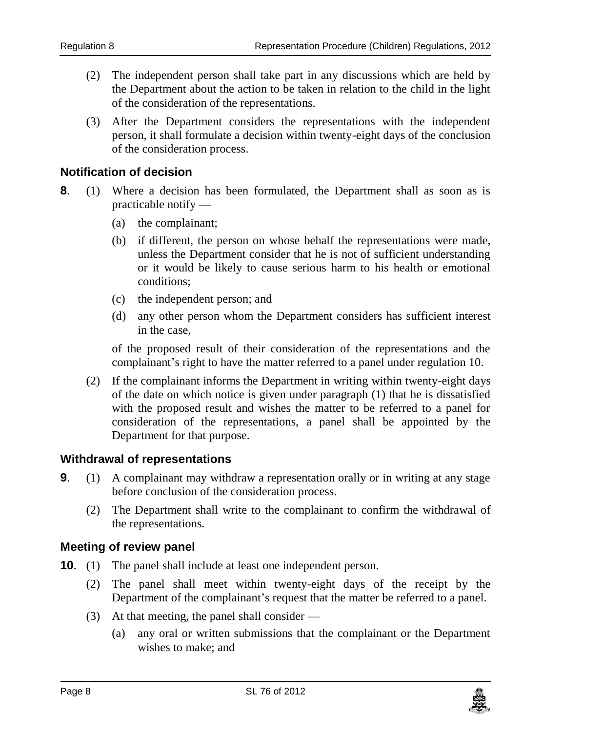- (2) The independent person shall take part in any discussions which are held by the Department about the action to be taken in relation to the child in the light of the consideration of the representations.
- (3) After the Department considers the representations with the independent person, it shall formulate a decision within twenty-eight days of the conclusion of the consideration process.

#### <span id="page-7-0"></span>**8. Notification of decision**

- **8**. (1) Where a decision has been formulated, the Department shall as soon as is practicable notify —
	- (a) the complainant;
	- (b) if different, the person on whose behalf the representations were made, unless the Department consider that he is not of sufficient understanding or it would be likely to cause serious harm to his health or emotional conditions;
	- (c) the independent person; and
	- (d) any other person whom the Department considers has sufficient interest in the case,

of the proposed result of their consideration of the representations and the complainant's right to have the matter referred to a panel under regulation 10.

(2) If the complainant informs the Department in writing within twenty-eight days of the date on which notice is given under paragraph (1) that he is dissatisfied with the proposed result and wishes the matter to be referred to a panel for consideration of the representations, a panel shall be appointed by the Department for that purpose.

#### <span id="page-7-1"></span>**9. Withdrawal of representations**

- **9.** (1) A complainant may withdraw a representation orally or in writing at any stage before conclusion of the consideration process.
	- (2) The Department shall write to the complainant to confirm the withdrawal of the representations.

#### <span id="page-7-2"></span>**10. Meeting of review panel**

- **10**. (1) The panel shall include at least one independent person.
	- (2) The panel shall meet within twenty-eight days of the receipt by the Department of the complainant's request that the matter be referred to a panel.
	- (3) At that meeting, the panel shall consider
		- (a) any oral or written submissions that the complainant or the Department wishes to make; and

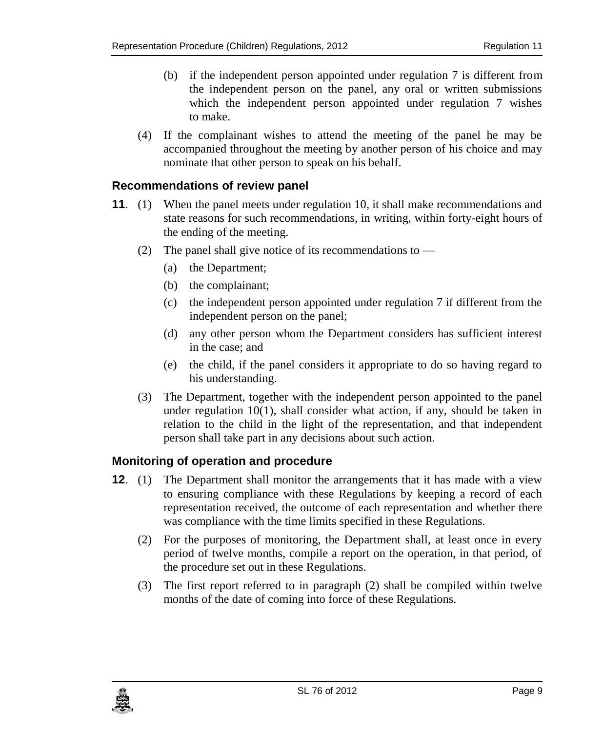- (b) if the independent person appointed under regulation 7 is different from the independent person on the panel, any oral or written submissions which the independent person appointed under regulation 7 wishes to make.
- (4) If the complainant wishes to attend the meeting of the panel he may be accompanied throughout the meeting by another person of his choice and may nominate that other person to speak on his behalf.

#### <span id="page-8-0"></span>**11. Recommendations of review panel**

- **11.** (1) When the panel meets under regulation 10, it shall make recommendations and state reasons for such recommendations, in writing, within forty-eight hours of the ending of the meeting.
	- (2) The panel shall give notice of its recommendations to
		- (a) the Department;
		- (b) the complainant;
		- (c) the independent person appointed under regulation 7 if different from the independent person on the panel;
		- (d) any other person whom the Department considers has sufficient interest in the case; and
		- (e) the child, if the panel considers it appropriate to do so having regard to his understanding.
	- (3) The Department, together with the independent person appointed to the panel under regulation  $10(1)$ , shall consider what action, if any, should be taken in relation to the child in the light of the representation, and that independent person shall take part in any decisions about such action.

#### <span id="page-8-1"></span>**12. Monitoring of operation and procedure**

- **12**. (1) The Department shall monitor the arrangements that it has made with a view to ensuring compliance with these Regulations by keeping a record of each representation received, the outcome of each representation and whether there was compliance with the time limits specified in these Regulations.
	- (2) For the purposes of monitoring, the Department shall, at least once in every period of twelve months, compile a report on the operation, in that period, of the procedure set out in these Regulations.
	- (3) The first report referred to in paragraph (2) shall be compiled within twelve months of the date of coming into force of these Regulations.